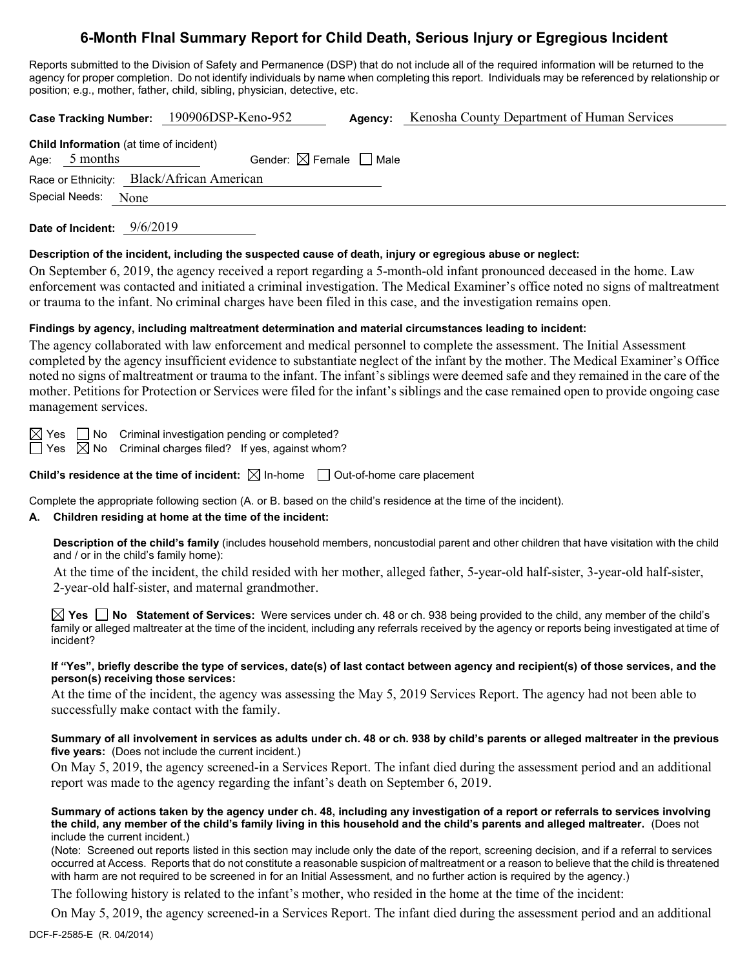# **6-Month FInal Summary Report for Child Death, Serious Injury or Egregious Incident**

Reports submitted to the Division of Safety and Permanence (DSP) that do not include all of the required information will be returned to the agency for proper completion. Do not identify individuals by name when completing this report. Individuals may be referenced by relationship or position; e.g., mother, father, child, sibling, physician, detective, etc.

**Case Tracking Number:** 190906DSP-Keno-952 **Agency:** Kenosha County Department of Human Services **Child Information** (at time of incident) Age:  $5$  months Gender:  $\boxtimes$  Female  $\Box$  Male Race or Ethnicity: Black/African American

Special Needs: None

**Date of Incident:** 9/6/2019

### **Description of the incident, including the suspected cause of death, injury or egregious abuse or neglect:**

On September 6, 2019, the agency received a report regarding a 5-month-old infant pronounced deceased in the home. Law enforcement was contacted and initiated a criminal investigation. The Medical Examiner's office noted no signs of maltreatment or trauma to the infant. No criminal charges have been filed in this case, and the investigation remains open.

# **Findings by agency, including maltreatment determination and material circumstances leading to incident:**

The agency collaborated with law enforcement and medical personnel to complete the assessment. The Initial Assessment completed by the agency insufficient evidence to substantiate neglect of the infant by the mother. The Medical Examiner's Office noted no signs of maltreatment or trauma to the infant. The infant's siblings were deemed safe and they remained in the care of the mother. Petitions for Protection or Services were filed for the infant's siblings and the case remained open to provide ongoing case management services.

 $\boxtimes$  Yes  $\Box$  No Criminal investigation pending or completed?

 $\Box$  Yes  $\boxtimes$  No Criminal charges filed? If yes, against whom?

**Child's residence at the time of incident:**  $\boxtimes$  In-home  $\Box$  Out-of-home care placement

Complete the appropriate following section (A. or B. based on the child's residence at the time of the incident).

# **A. Children residing at home at the time of the incident:**

**Description of the child's family** (includes household members, noncustodial parent and other children that have visitation with the child and / or in the child's family home):

At the time of the incident, the child resided with her mother, alleged father, 5-year-old half-sister, 3-year-old half-sister, 2-year-old half-sister, and maternal grandmother.

**Yes No Statement of Services:** Were services under ch. 48 or ch. 938 being provided to the child, any member of the child's family or alleged maltreater at the time of the incident, including any referrals received by the agency or reports being investigated at time of incident?

### **If "Yes", briefly describe the type of services, date(s) of last contact between agency and recipient(s) of those services, and the person(s) receiving those services:**

At the time of the incident, the agency was assessing the May 5, 2019 Services Report. The agency had not been able to successfully make contact with the family.

### **Summary of all involvement in services as adults under ch. 48 or ch. 938 by child's parents or alleged maltreater in the previous five years:** (Does not include the current incident.)

On May 5, 2019, the agency screened-in a Services Report. The infant died during the assessment period and an additional report was made to the agency regarding the infant's death on September 6, 2019.

### **Summary of actions taken by the agency under ch. 48, including any investigation of a report or referrals to services involving the child, any member of the child's family living in this household and the child's parents and alleged maltreater.** (Does not include the current incident.)

(Note: Screened out reports listed in this section may include only the date of the report, screening decision, and if a referral to services occurred at Access. Reports that do not constitute a reasonable suspicion of maltreatment or a reason to believe that the child is threatened with harm are not required to be screened in for an Initial Assessment, and no further action is required by the agency.)

The following history is related to the infant's mother, who resided in the home at the time of the incident:

On May 5, 2019, the agency screened-in a Services Report. The infant died during the assessment period and an additional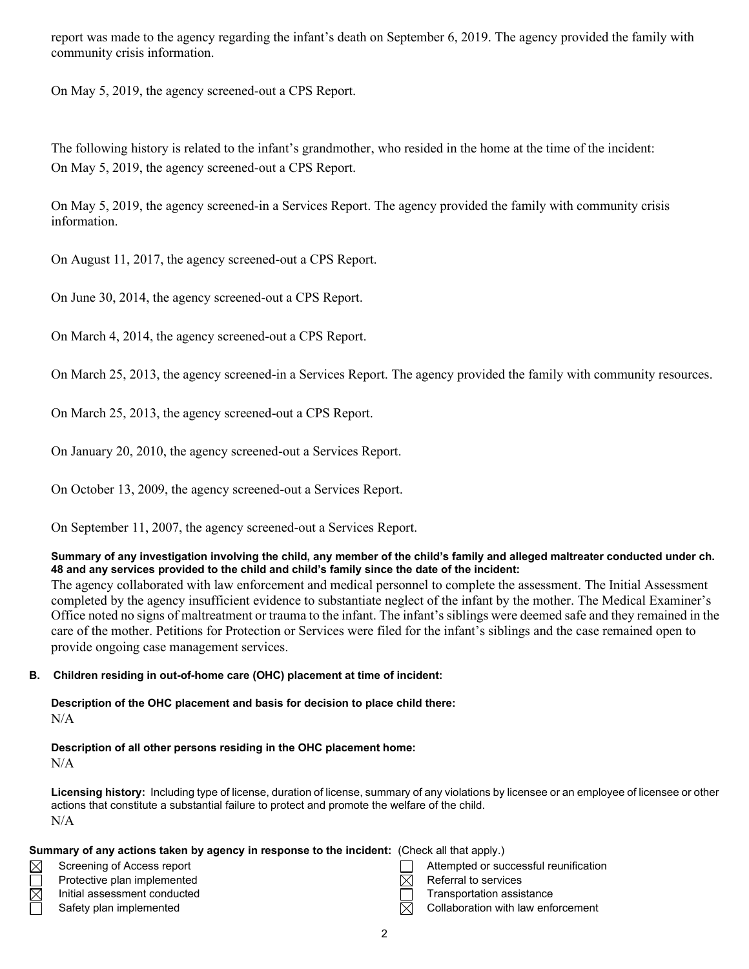report was made to the agency regarding the infant's death on September 6, 2019. The agency provided the family with community crisis information.

On May 5, 2019, the agency screened-out a CPS Report.

The following history is related to the infant's grandmother, who resided in the home at the time of the incident: On May 5, 2019, the agency screened-out a CPS Report.

On May 5, 2019, the agency screened-in a Services Report. The agency provided the family with community crisis information.

On August 11, 2017, the agency screened-out a CPS Report.

On June 30, 2014, the agency screened-out a CPS Report.

On March 4, 2014, the agency screened-out a CPS Report.

On March 25, 2013, the agency screened-in a Services Report. The agency provided the family with community resources.

On March 25, 2013, the agency screened-out a CPS Report.

On January 20, 2010, the agency screened-out a Services Report.

On October 13, 2009, the agency screened-out a Services Report.

On September 11, 2007, the agency screened-out a Services Report.

# **Summary of any investigation involving the child, any member of the child's family and alleged maltreater conducted under ch. 48 and any services provided to the child and child's family since the date of the incident:**

The agency collaborated with law enforcement and medical personnel to complete the assessment. The Initial Assessment completed by the agency insufficient evidence to substantiate neglect of the infant by the mother. The Medical Examiner's Office noted no signs of maltreatment or trauma to the infant. The infant's siblings were deemed safe and they remained in the care of the mother. Petitions for Protection or Services were filed for the infant's siblings and the case remained open to provide ongoing case management services.

# **B. Children residing in out-of-home care (OHC) placement at time of incident:**

**Description of the OHC placement and basis for decision to place child there:** N/A

# **Description of all other persons residing in the OHC placement home:**

 $N/A$ 

**Licensing history:** Including type of license, duration of license, summary of any violations by licensee or an employee of licensee or other actions that constitute a substantial failure to protect and promote the welfare of the child. N/A

| Summary of any actions taken by agency in response to the incident: (Check all that apply.) |                              |  |                                       |  |  |
|---------------------------------------------------------------------------------------------|------------------------------|--|---------------------------------------|--|--|
| $\boxtimes$                                                                                 | Screening of Access report   |  | Attempted or successful reunification |  |  |
|                                                                                             | Protective plan implemented  |  | Referral to services                  |  |  |
| $\boxtimes$                                                                                 | Initial assessment conducted |  | Transportation assistance             |  |  |
|                                                                                             | Safety plan implemented      |  | Collaboration with law enforcement    |  |  |